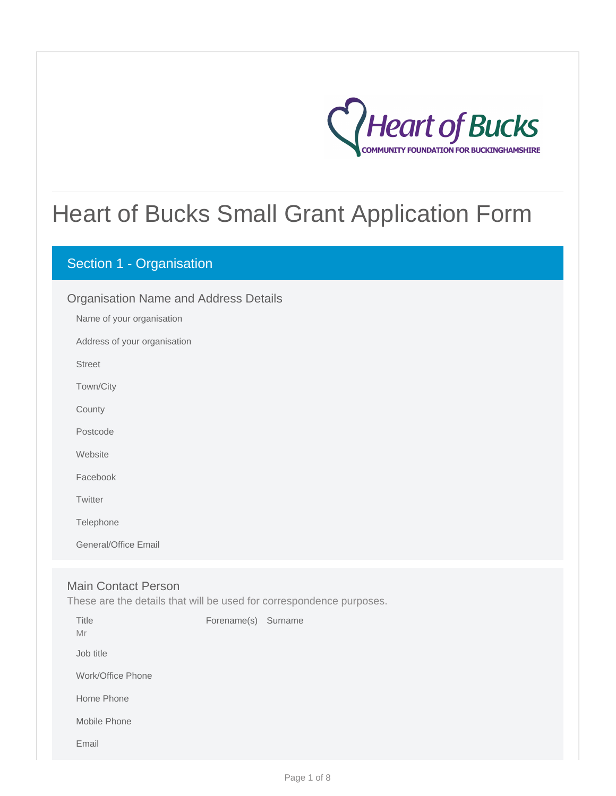

# Heart of Bucks Small Grant Application Form

# Section 1 - Organisation

| <b>Organisation Name and Address Details</b> |
|----------------------------------------------|
| Name of your organisation                    |
| Address of your organisation                 |
| <b>Street</b>                                |
| Town/City                                    |
| County                                       |
| Postcode                                     |
| Website                                      |
| Facebook                                     |
| Twitter                                      |
| Telephone                                    |
| General/Office Email                         |
|                                              |

# Main Contact Person

These are the details that will be used for correspondence purposes.

| Title<br>Mr       | Forename(s) Surname |  |
|-------------------|---------------------|--|
| Job title         |                     |  |
| Work/Office Phone |                     |  |
| Home Phone        |                     |  |
| Mobile Phone      |                     |  |
| Email             |                     |  |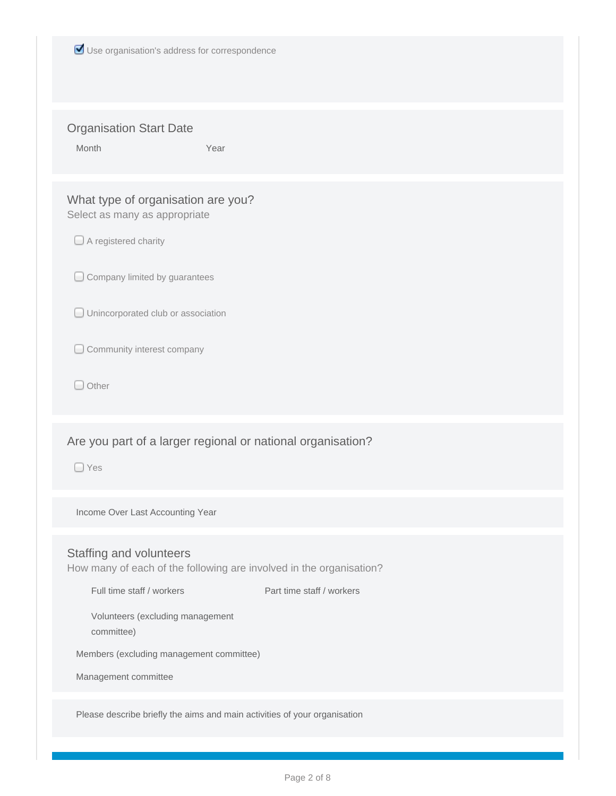|  |  |  |  |  | Use organisation's address for correspondence |
|--|--|--|--|--|-----------------------------------------------|
|--|--|--|--|--|-----------------------------------------------|

### Organisation Start Date

Month Year **Year** 

# What type of organisation are you? Select as many as appropriate

A registered charity

Company limited by guarantees

**Unincorporated club or association** 

C Community interest company

O Other

# Are you part of a larger regional or national organisation?

□ Yes

Income Over Last Accounting Year

#### Staffing and volunteers

How many of each of the following are involved in the organisation?

Full time staff / workers Part time staff / workers

Volunteers (excluding management committee)

Members (excluding management committee)

Management committee

Please describe briefly the aims and main activities of your organisation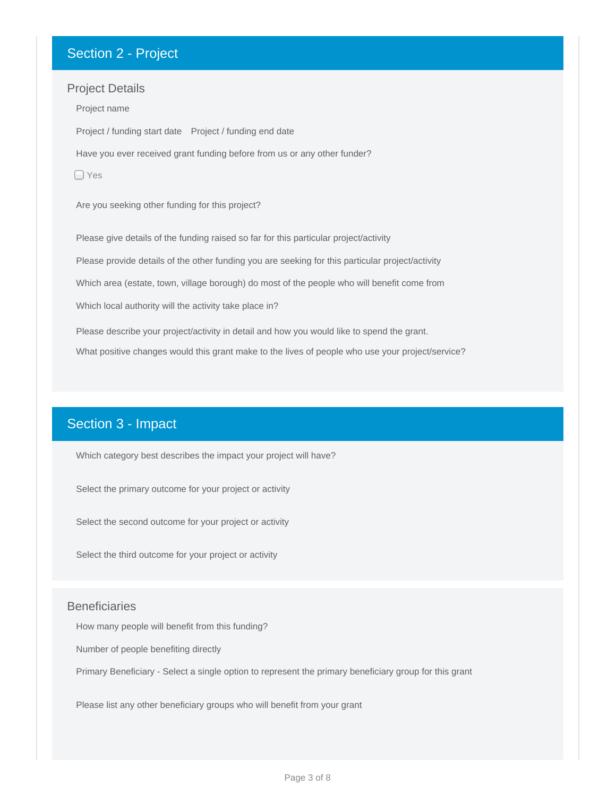# Section 2 - Project

#### Project Details

Project / funding start date Project / funding end date Project name Have you ever received grant funding before from us or any other funder? □ Yes Are you seeking other funding for this project? Please give details of the funding raised so far for this particular project/activity Please provide details of the other funding you are seeking for this particular project/activity Which area (estate, town, village borough) do most of the people who will benefit come from Which local authority will the activity take place in? Please describe your project/activity in detail and how you would like to spend the grant. What positive changes would this grant make to the lives of people who use your project/service?

# Section 3 - Impact

Which category best describes the impact your project will have?

Select the primary outcome for your project or activity

Select the second outcome for your project or activity

Select the third outcome for your project or activity

#### **Beneficiaries**

How many people will benefit from this funding?

Number of people benefiting directly

Primary Beneficiary - Select a single option to represent the primary beneficiary group for this grant

Please list any other beneficiary groups who will benefit from your grant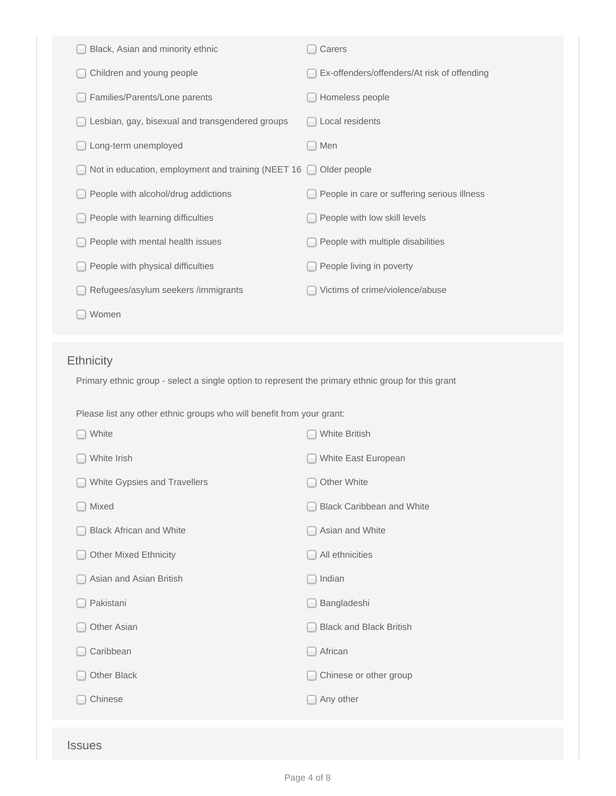| Black, Asian and minority ethnic                                                                   | Carers                                      |
|----------------------------------------------------------------------------------------------------|---------------------------------------------|
| Children and young people                                                                          | Ex-offenders/offenders/At risk of offending |
| Families/Parents/Lone parents                                                                      | Homeless people                             |
| Lesbian, gay, bisexual and transgendered groups                                                    | Local residents                             |
| Long-term unemployed                                                                               | Men                                         |
| Not in education, employment and training (NEET 16                                                 | Older people<br>$\overline{\phantom{0}}$    |
| People with alcohol/drug addictions                                                                | People in care or suffering serious illness |
| People with learning difficulties                                                                  | People with low skill levels                |
| People with mental health issues                                                                   | People with multiple disabilities           |
| People with physical difficulties                                                                  | People living in poverty                    |
| Refugees/asylum seekers /immigrants                                                                | Victims of crime/violence/abuse             |
| Women                                                                                              |                                             |
|                                                                                                    |                                             |
| <b>Ethnicity</b>                                                                                   |                                             |
| Primary ethnic group - select a single option to represent the primary ethnic group for this grant |                                             |
| Please list any other ethnic groups who will benefit from your grant:                              |                                             |
| White                                                                                              | <b>White British</b>                        |
| White Irish                                                                                        | White East European                         |
| White Gypsies and Travellers                                                                       | Other White                                 |
| Mixed                                                                                              | <b>Black Caribbean and White</b>            |
| <b>Black African and White</b>                                                                     | Asian and White                             |
| <b>Other Mixed Ethnicity</b>                                                                       | All ethnicities                             |
| Asian and Asian British                                                                            | Indian                                      |
| Pakistani                                                                                          |                                             |
|                                                                                                    | Bangladeshi                                 |
| Other Asian                                                                                        | <b>Black and Black British</b>              |
| Caribbean                                                                                          | African                                     |
| Other Black                                                                                        | Chinese or other group                      |
| Chinese                                                                                            | Any other                                   |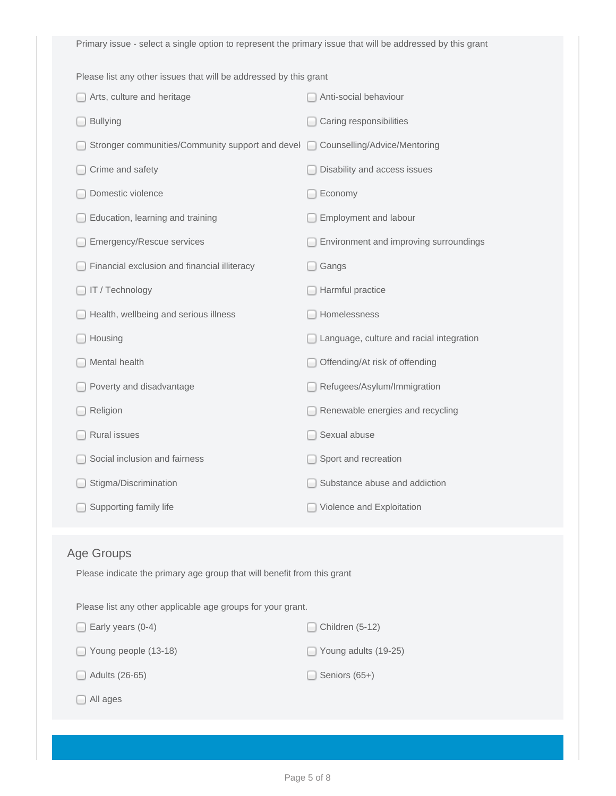Primary issue - select a single option to represent the primary issue that will be addressed by this grant

Please list any other issues that will be addressed by this grant

| Arts, culture and heritage                       | Anti-social behaviour                    |
|--------------------------------------------------|------------------------------------------|
| <b>Bullying</b>                                  | Caring responsibilities                  |
| Stronger communities/Community support and devel | Counselling/Advice/Mentoring             |
| Crime and safety                                 | Disability and access issues             |
| Domestic violence                                | Economy                                  |
| Education, learning and training                 | Employment and labour                    |
| Emergency/Rescue services                        | Environment and improving surroundings   |
| Financial exclusion and financial illiteracy     | Gangs                                    |
| IT / Technology                                  | Harmful practice                         |
| Health, wellbeing and serious illness            | Homelessness                             |
| Housing                                          | Language, culture and racial integration |
| Mental health                                    | Offending/At risk of offending           |
| Poverty and disadvantage                         | Refugees/Asylum/Immigration              |
| Religion                                         | Renewable energies and recycling         |
| Rural issues                                     | Sexual abuse                             |
| Social inclusion and fairness                    | Sport and recreation                     |
| Stigma/Discrimination                            | Substance abuse and addiction            |
| Supporting family life                           | Violence and Exploitation                |

# Age Groups

Please indicate the primary age group that will benefit from this grant

Please list any other applicable age groups for your grant.

| $\Box$ Early years (0-4)    | $\Box$ Children (5-12) |
|-----------------------------|------------------------|
| $\Box$ Young people (13-18) | Young adults (19-25)   |
| $\Box$ Adults (26-65)       | $\Box$ Seniors (65+)   |

|  | All ages |
|--|----------|
|--|----------|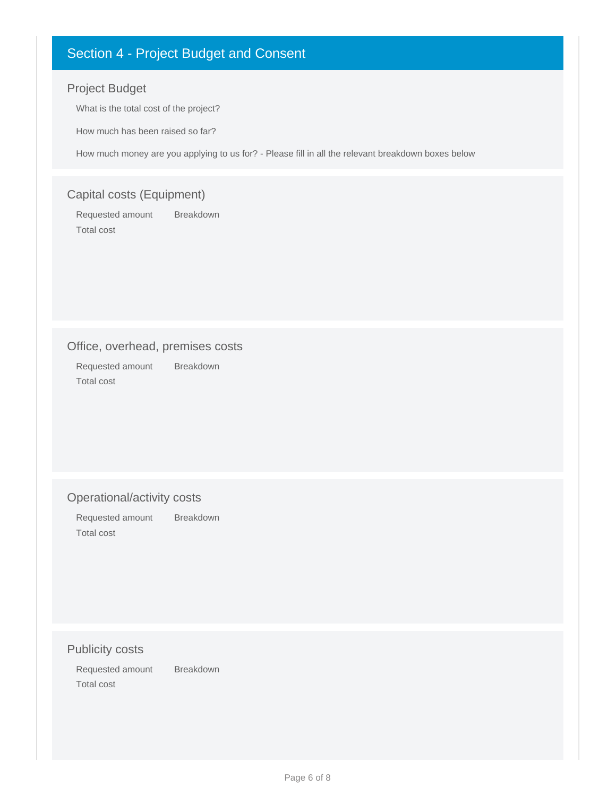# Section 4 - Project Budget and Consent

# Project Budget

What is the total cost of the project?

How much has been raised so far?

How much money are you applying to us for? - Please fill in all the relevant breakdown boxes below

# Capital costs (Equipment)

Requested amount Breakdown Total cost

# Office, overhead, premises costs

Requested amount Breakdown Total cost

#### Operational/activity costs

Requested amount Breakdown Total cost

#### Publicity costs

Requested amount Breakdown Total cost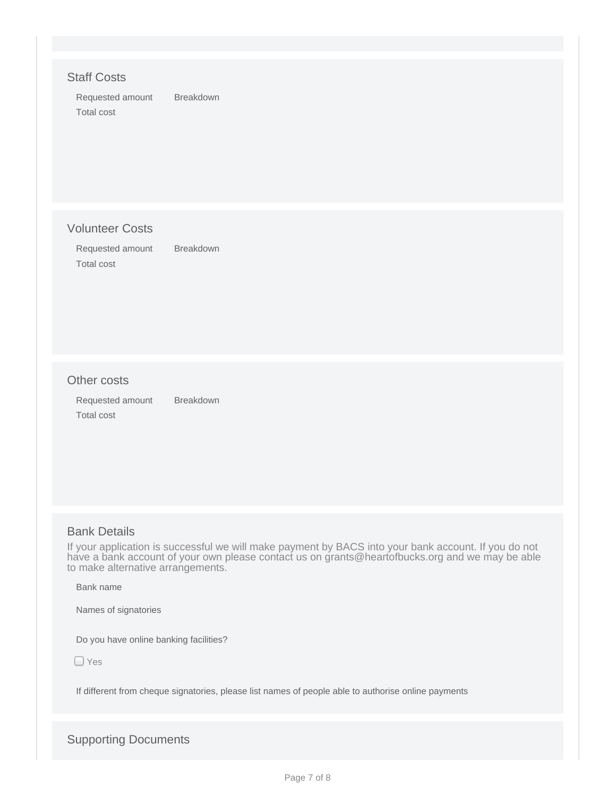#### Staff Costs

Requested amount Breakdown Total cost

#### Volunteer Costs

Requested amount Breakdown Total cost

#### Other costs

Requested amount Breakdown Total cost

#### Bank Details

If your application is successful we will make payment by BACS into your bank account. If you do not have a bank account of your own please contact us on grants@heartofbucks.org and we may be able to make alternative arrangements.

Bank name

Names of signatories

Do you have online banking facilities?

□ Yes

If different from cheque signatories, please list names of people able to authorise online payments

Supporting Documents